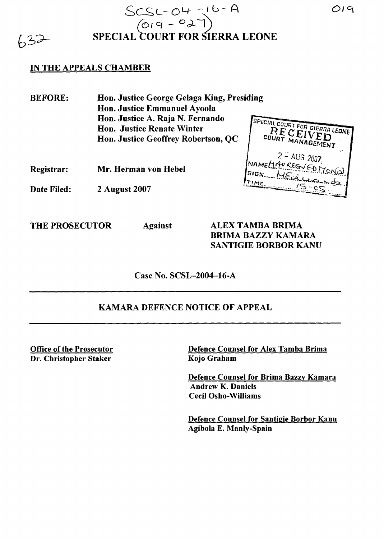$632$ 

# $SCSL-OH = 16 - A$  $(019 - 027)$ SPECIAL COURT FOR SiERRA LEONE

# IN THE APPEALS CHAMBER

SPECIAL COURT FOR SIERRA LEONE Hon. Justice George Gelaga King, Presiding Hon. Justice Emmanuel Ayoola Hon. Justice A. Raja N. Fernando Hon. Justice Renate Winter Hon. Justice Geoffrey Robertson, QC BEFORE:

- Mr. Herman von Hebel Registrar:
- 2 August 2007 Date Filed:

THE PROSECUTOR Against ALEX TAMBA BRIMA

BRIMA BAZZY KAMARA SANTIGIE BORBOR KANU

 $SIGN$ TIME

 $2 - \text{AUS } 2007$ 

NAMELIAUREGYEDE

Case No. SCSL-2004-16-A

# KAMARA DEFENCE NOTICE OF APPEAL

**Office of the Prosecutor** Dr. Christopher Staker

Defence Counsel for Alex Tamba Brima Kojo Graham

Defence Counsel for Brima Bazzy Kamara Andrew K. Daniels Cecil Osho-Williams

Defence Counsel for Santigie Borbor Kanu Agibola E. Manly-Spain

*o/q*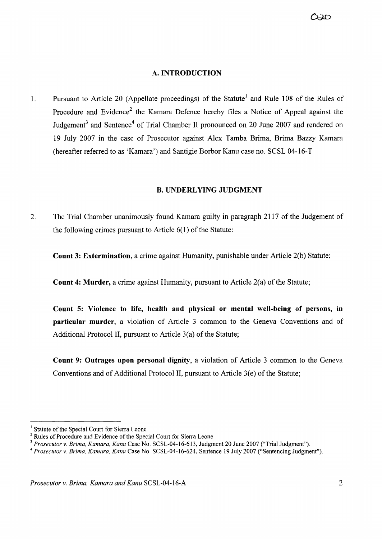#### A. **INTRODUCTION**

1. Pursuant to Article 20 (Appellate proceedings) of the Statute<sup>1</sup> and Rule 108 of the Rules of Procedure and Evidence<sup>2</sup> the Kamara Defence hereby files a Notice of Appeal against the Judgement<sup>3</sup> and Sentence<sup>4</sup> of Trial Chamber II pronounced on 20 June 2007 and rendered on 19 July 2007 in the case of Prosecutor against Alex Tamba Brima, Brima Bazzy Kamara (hereafter referred to as 'Kamara') and Santigie Borbor Kanu case no. SCSL 04-16-T

#### **B. UNDERLYING JUDGMENT**

2. The Trial Chamber unanimously found Kamara guilty in paragraph 2117 of the Judgement of the following crimes pursuant to Article  $6(1)$  of the Statute:

**Count 3: Extermination,** a crime against Humanity, punishable under Article 2(b) Statute;

**Count 4: Murder,** a crime against Humanity, pursuant to Article 2(a) of the Statute;

**Count 5: Violence to life, health and physical or mental well-being of persons, in particular murder,** a violation of Article 3 common to the Geneva Conventions and of Additional Protocol II, pursuant to Article  $3(a)$  of the Statute;

**Count 9: Outrages upon personal dignity,** a violation of Article 3 common to the Geneva Conventions and of Additional Protocol II, pursuant to Article  $3(e)$  of the Statute;

Statute of the Special Court for Sierra Leone

 $2$  Rules of Procedure and Evidence of the Special Court for Sierra Leone

<sup>3</sup> *Prosecutor* v. *Brima, Kamara, Kanu* Case No. SCSL-04-16-613, Judgment 20 June 2007 ("Trial Judgment").

*<sup>4</sup> Prosecutor* v. *Brima, Kamara, Kanu* Case No. SCSL-04-16-624, Sentence 19 July 2007 ("Sentencing Judgment").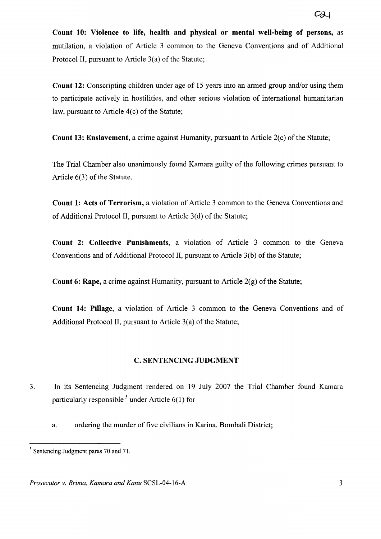**Count 10: Violence to life, health and physical or mental well-being of persons,** as mutilation, a violation of Article 3 common to the Geneva Conventions and of Additional Protocol II, pursuant to Article  $3(a)$  of the Statute;

**Count 12:** Conscripting children under age of 15 years into an armed group and/or using them to participate actively in hostilities, and other serious violation of international humanitarian law, pursuant to Article  $4(c)$  of the Statute;

**Count 13: Enslavement,** a crime against Humanity, pursuant to Article 2(c) of the Statute;

The Trial Chamber also unanimously found Kamara guilty of the following crimes pursuant to Article  $6(3)$  of the Statute.

**Count 1: Acts of Terrorism,** a violation of Article 3 common to the Geneva Conventions and of Additional Protocol II, pursuant to Article  $3(d)$  of the Statute;

**Count 2: Collective Punishments,** a violation of Article 3 common to the Geneva Conventions and of Additional Protocol II, pursuant to Article 3(b) of the Statute;

**Count 6: Rape,** a crime against Humanity, pursuant to Article  $2(g)$  of the Statute;

**Count 14: Pillage,** a violation of Article 3 common to the Geneva Conventions and of Additional Protocol II, pursuant to Article  $3(a)$  of the Statute;

# C. **SENTENCING JUDGMENT**

- 3. **In** its Sentencing Judgment rendered on 19 July 2007 the Trial Chamber found Kamara particularly responsible  $<sup>5</sup>$  under Article 6(1) for</sup>
	- a. ordering the murder of five civilians in Karina, Bombali District;

<sup>5</sup> Sentencing Judgment paras 70 and 71.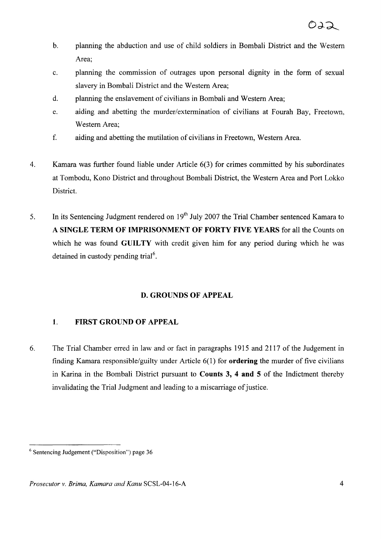- b. planning the abduction and use of child soldiers in Bombali District and the Western Area;
- c. planning the commission of outrages upon personal dignity in the form of sexual slavery in Bombali District and the Western Area;
- d. planning the enslavement of civilians in Bombali and Western Area;
- e. aiding and abetting the murder/extermination of civilians at Fourah Bay, Freetown, Western Area;
- f. aiding and abetting the mutilation of civilians in Freetown, Western Area.
- 4. Kamara was further found liable under Article 6(3) for crimes committed by his subordinates at Tombodu, Kono District and throughout Bombali District, the Western Area and Port Lokko District.
- 5. In its Sentencing Judgment rendered on 19<sup>th</sup> July 2007 the Trial Chamber sentenced Kamara to A **SINGLE TERM OF IMPRISONMENT OF FORTY FIVE YEARS** for all the Counts on which he was found **GUILTY** with credit given him for any period during which he was detained in custody pending trial<sup>6</sup>.

# **D. GROUNDS OF APPEAL**

# **1. FIRST GROUND OF APPEAL**

6. The Trial Chamber erred in law and or fact in paragraphs 1915 and 2117 of the Judgement in finding Kamara responsible/guilty under Article 6(1) for **ordering** the murder of five civilians in Karina in the Bombali District pursuant to **Counts 3, 4 and 5** of the Indictment thereby invalidating the Trial Judgment and leading to a miscarriage of justice.

<sup>6</sup> Sentencing Judgement ("Disposition") page 36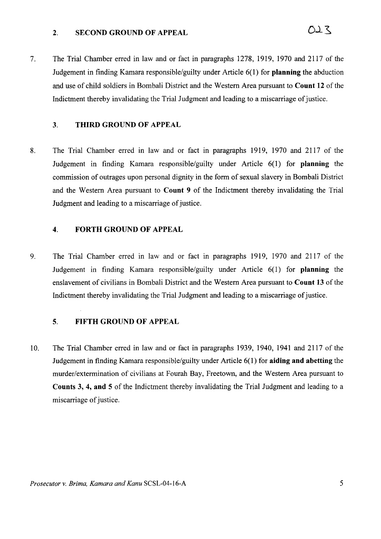#### 2. **SECOND GROUND OF APPEAL**

7. The Trial Chamber erred in law and or fact in paragraphs 1278, 1919, 1970 and 2117 of the Judgement in finding Kamara responsible/guilty under Article 6(1) for **planning** the abduction and use of child soldiers in Bombali District and the Western Area pursuant to **Count** 12 of the Indictment thereby invalidating the Trial Judgment and leading to a miscarriage of justice.

#### 3. **THIRD GROUND OF APPEAL**

8. The Trial Chamber erred in law and or fact in paragraphs 1919, 1970 and 2117 of the Judgement in finding Kamara responsible/guilty under Article 6(1) for **planning** the commission of outrages upon personal dignity in the form of sexual slavery in Bombali District and the Western Area pursuant to **Count 9** of the Indictment thereby invalidating the Trial Judgment and leading to a miscarriage of justice.

#### 4. **FORTH GROUND OF APPEAL**

9. The Trial Chamber erred in law and or fact in paragraphs 1919, 1970 and 2117 of the Judgement in finding Kamara responsible/guilty under Article 6(1) for **planning** the enslavement of civilians in Bombali District and the Western Area pursuant to Count 13 of the Indictment thereby invalidating the Trial Judgment and leading to a miscarriage of justice.

#### 5. **FIFTH GROUND OF APPEAL**

10. The Trial Chamber erred in law and or fact in paragraphs 1939, 1940, 1941 and 2117 of the Judgement in finding Kamara responsible/guilty under Article 6(1) for **aiding and abetting** the murder/extermination of civilians at Fourah Bay, Freetown, and the Western Area pursuant to **Counts** 3, 4, **and 5** of the Indictment thereby invalidating the Trial Judgment and leading to a miscarriage of justice.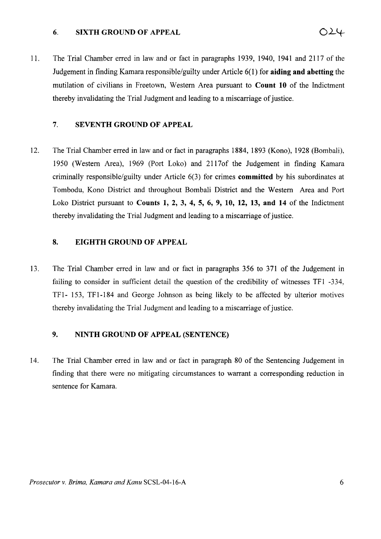#### 6. SIXTH GROUND OF APPEAL

11. The Trial Chamber erred in law and or fact in paragraphs 1939, 1940, 1941 and 2117 of the Judgement in finding Kamara responsible/guilty under Article 6(1) for aiding and abetting the mutilation of civilians in Freetown, Western Area pursuant to Count 10 of the Indictment thereby invalidating the Trial Judgment and leading to a miscarriage of justice.

### 7. SEVENTH GROUND OF APPEAL

12. The Trial Chamber erred in law and or fact in paragraphs 1884, 1893 (Kono), 1928 (Bombali), 1950 (Western Area), 1969 (Port Loko) and 21170f the Judgement in finding Kamara criminally responsible/guilty under Article 6(3) for crimes committed by his subordinates at Tombodu, Kono District and throughout Bombali District and the Western Area and Port Loko District pursuant to Counts 1, 2, 3, 4, 5, 6, 9, 10, 12, 13, and 14 of the Indictment thereby invalidating the Trial Judgment and leading to a miscarriage of justice.

# 8. EIGHTH GROUND OF APPEAL

13. The Trial Chamber erred in law and or fact in paragraphs 356 to 371 of the Judgement in failing to consider in sufficient detail the question of the credibility of witnesses TF1 -334, TF1- 153, TFl-184 and George Johnson as being likely to be affected by ulterior motives thereby invalidating the Trial Judgment and leading to a miscarriage of justice.

# 9. NINTH GROUND OF APPEAL (SENTENCE)

14. The Trial Chamber erred in law and or fact in paragraph 80 of the Sentencing Judgement in finding that there were no mitigating circumstances to warrant a corresponding reduction in sentence for Kamara.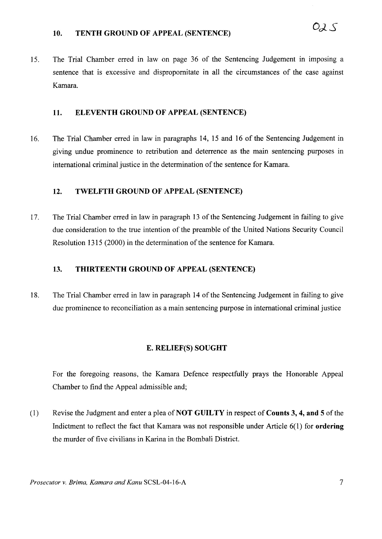15. The Trial Chamber erred in law on page 36 of the Sentencing Judgement in imposing a sentence that is excessive and dispropornitate in all the circumstances of the case against Kamara.

#### 11. ELEVENTH GROUND OF APPEAL (SENTENCE)

16. The Trial Chamber erred in law in paragraphs 14, 15 and 16 of the Sentencing Judgement in giving undue prominence to retribution and deterrence as the main sentencing purposes in international criminal justice in the determination of the sentence for Kamara.

### 12. TWELFTH GROUND OF APPEAL (SENTENCE)

17. The Trial Chamber erred in law in paragraph 13 ofthe Sentencing Judgement in failing to give due consideration to the true intention of the preamble of the United Nations Security Council Resolution 1315 (2000) in the determination of the sentence for Kamara.

### 13. THIRTEENTH GROUND OF APPEAL (SENTENCE)

18. The Trial Chamber erred in law in paragraph 14 of the Sentencing Judgement in failing to give due prominence to reconciliation as a main sentencing purpose in international criminal justice

#### E. RELIEF(S) SOUGHT

For the foregoing reasons, the Kamara Defence respectfully prays the Honorable Appeal Chamber to find the Appeal admissible and;

(1) Revise the Judgment and enter a plea of **NOT GUILTY** in respect of **Counts 3, 4, and 5** of the Indictment to reflect the fact that Kamara was not responsible under Article 6(1) for ordering the murder of five civilians in Karina in the Bombali District.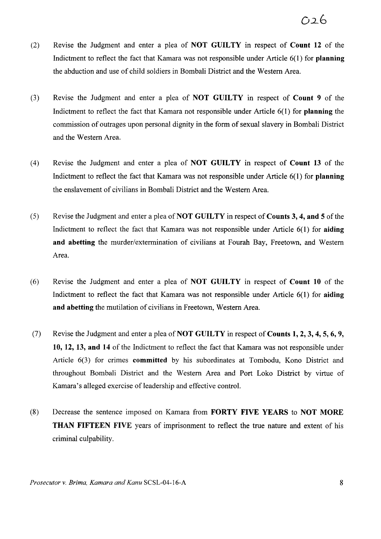- (2) Revise the Judgment and enter a plea of NOT GUILTY in respect of Count 12 of the Indictment to reflect the fact that Kamara was not responsible under Article 6(1) for planning the abduction and use of child soldiers in Bombali District and the Western Area.
- (3) Revise the Judgment and enter a plea of NOT GUILTY in respect of Count 9 of the Indictment to reflect the fact that Kamara not responsible under Article 6(1) for planning the commission of outrages upon personal dignity in the form of sexual slavery in Bombali District and the Western Area.
- (4) Revise the Judgment and enter a plea of NOT GUILTY in respect of Count 13 of the Indictment to reflect the fact that Kamara was not responsible under Article 6(1) for planning the enslavement of civilians in Bombali District and the Western Area.
- (5) Revise the Judgment and enter a plea of **NOT GUILTY** in respect of **Counts 3, 4, and 5** of the Indictment to reflect the fact that Kamara was not responsible under Article 6(1) for aiding and abetting the murder/extermination of civilians at Fourah Bay, Freetown, and Western Area.
- (6) Revise the Judgment and enter a plea of NOT GUILTY in respect of Count 10 of the Indictment to reflect the fact that Kamara was not responsible under Article 6(1) for aiding and abetting the mutilation of civilians in Freetown, Western Area.
- (7) Revise the Judgment and enter a plea of **NOT GUILTY** in respect of **Counts 1, 2, 3, 4, 5, 6, 9,** 10, 12, 13, and 14 of the Indictment to reflect the fact that Kamara was not responsible under Article 6(3) for crimes committed by his subordinates at Tombodu, Kono District and throughout Bombali District and the Western Area and Port Loko District by virtue of Kamara's alleged exercise of leadership and effective control.
- (8) Decrease the sentence imposed on Kamara from FORTY FIVE YEARS to NOT MORE THAN FIFTEEN FIVE years of imprisonment to reflect the true nature and extent of his criminal culpability.